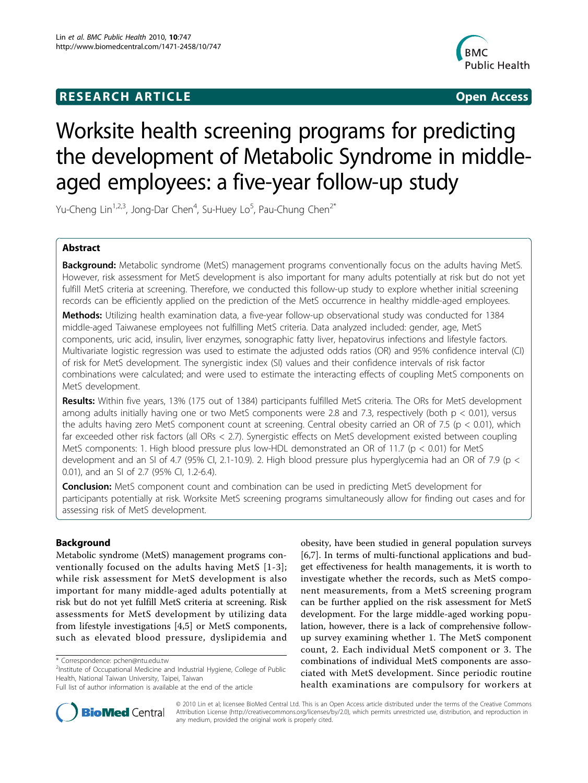## **RESEARCH ARTICLE Example 2018 CONSIDERING ACCESS**



# Worksite health screening programs for predicting the development of Metabolic Syndrome in middleaged employees: a five-year follow-up study

Yu-Cheng Lin<sup>1,2,3</sup>, Jong-Dar Chen<sup>4</sup>, Su-Huey Lo<sup>5</sup>, Pau-Chung Chen<sup>2\*</sup>

## Abstract

Background: Metabolic syndrome (MetS) management programs conventionally focus on the adults having MetS. However, risk assessment for MetS development is also important for many adults potentially at risk but do not yet fulfill MetS criteria at screening. Therefore, we conducted this follow-up study to explore whether initial screening records can be efficiently applied on the prediction of the MetS occurrence in healthy middle-aged employees.

Methods: Utilizing health examination data, a five-year follow-up observational study was conducted for 1384 middle-aged Taiwanese employees not fulfilling MetS criteria. Data analyzed included: gender, age, MetS components, uric acid, insulin, liver enzymes, sonographic fatty liver, hepatovirus infections and lifestyle factors. Multivariate logistic regression was used to estimate the adjusted odds ratios (OR) and 95% confidence interval (CI) of risk for MetS development. The synergistic index (SI) values and their confidence intervals of risk factor combinations were calculated; and were used to estimate the interacting effects of coupling MetS components on MetS development.

Results: Within five years, 13% (175 out of 1384) participants fulfilled MetS criteria. The ORs for MetS development among adults initially having one or two MetS components were 2.8 and 7.3, respectively (both  $p < 0.01$ ), versus the adults having zero MetS component count at screening. Central obesity carried an OR of 7.5 (p < 0.01), which far exceeded other risk factors (all ORs < 2.7). Synergistic effects on MetS development existed between coupling MetS components: 1. High blood pressure plus low-HDL demonstrated an OR of 11.7 ( $p < 0.01$ ) for MetS development and an SI of 4.7 (95% CI, 2.1-10.9). 2. High blood pressure plus hyperglycemia had an OR of 7.9 (p < 0.01), and an SI of 2.7 (95% CI, 1.2-6.4).

**Conclusion:** MetS component count and combination can be used in predicting MetS development for participants potentially at risk. Worksite MetS screening programs simultaneously allow for finding out cases and for assessing risk of MetS development.

## Background

Metabolic syndrome (MetS) management programs conventionally focused on the adults having MetS [[1-3\]](#page-6-0); while risk assessment for MetS development is also important for many middle-aged adults potentially at risk but do not yet fulfill MetS criteria at screening. Risk assessments for MetS development by utilizing data from lifestyle investigations [[4,5](#page-6-0)] or MetS components, such as elevated blood pressure, dyslipidemia and

obesity, have been studied in general population surveys [[6,7\]](#page-6-0). In terms of multi-functional applications and budget effectiveness for health managements, it is worth to investigate whether the records, such as MetS component measurements, from a MetS screening program can be further applied on the risk assessment for MetS development. For the large middle-aged working population, however, there is a lack of comprehensive followup survey examining whether 1. The MetS component count, 2. Each individual MetS component or 3. The combinations of individual MetS components are associated with MetS development. Since periodic routine health examinations are compulsory for workers at



© 2010 Lin et al; licensee BioMed Central Ltd. This is an Open Access article distributed under the terms of the Creative Commons Attribution License (http://creativecommons.org/licenses/by/2.0), which permits unrestricted use, distribution, and reproduction in any medium, provided the original work is properly cited.

<sup>\*</sup> Correspondence: [pchen@ntu.edu.tw](mailto:pchen@ntu.edu.tw)

<sup>&</sup>lt;sup>2</sup>Institute of Occupational Medicine and Industrial Hygiene, College of Public Health, National Taiwan University, Taipei, Taiwan

Full list of author information is available at the end of the article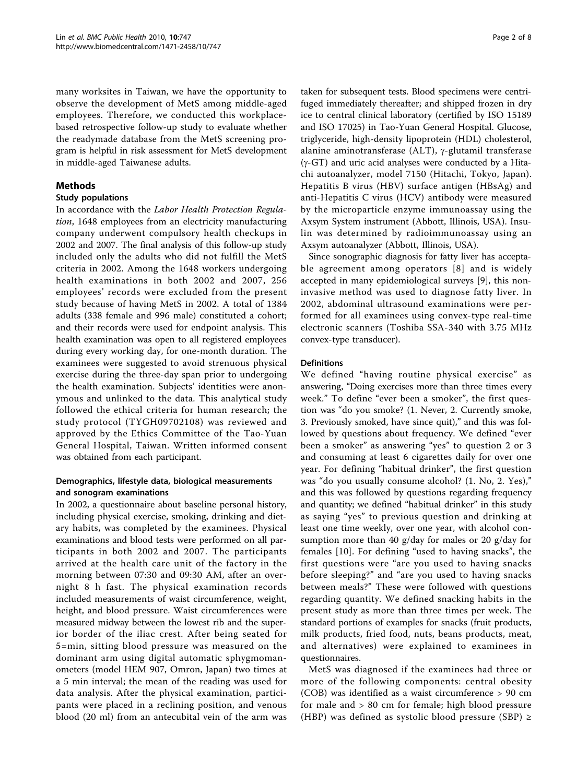many worksites in Taiwan, we have the opportunity to observe the development of MetS among middle-aged employees. Therefore, we conducted this workplacebased retrospective follow-up study to evaluate whether the readymade database from the MetS screening program is helpful in risk assessment for MetS development in middle-aged Taiwanese adults.

## Methods

## Study populations

In accordance with the Labor Health Protection Regulation, 1648 employees from an electricity manufacturing company underwent compulsory health checkups in 2002 and 2007. The final analysis of this follow-up study included only the adults who did not fulfill the MetS criteria in 2002. Among the 1648 workers undergoing health examinations in both 2002 and 2007, 256 employees' records were excluded from the present study because of having MetS in 2002. A total of 1384 adults (338 female and 996 male) constituted a cohort; and their records were used for endpoint analysis. This health examination was open to all registered employees during every working day, for one-month duration. The examinees were suggested to avoid strenuous physical exercise during the three-day span prior to undergoing the health examination. Subjects' identities were anonymous and unlinked to the data. This analytical study followed the ethical criteria for human research; the study protocol (TYGH09702108) was reviewed and approved by the Ethics Committee of the Tao-Yuan General Hospital, Taiwan. Written informed consent was obtained from each participant.

## Demographics, lifestyle data, biological measurements and sonogram examinations

In 2002, a questionnaire about baseline personal history, including physical exercise, smoking, drinking and dietary habits, was completed by the examinees. Physical examinations and blood tests were performed on all participants in both 2002 and 2007. The participants arrived at the health care unit of the factory in the morning between 07:30 and 09:30 AM, after an overnight 8 h fast. The physical examination records included measurements of waist circumference, weight, height, and blood pressure. Waist circumferences were measured midway between the lowest rib and the superior border of the iliac crest. After being seated for 5=min, sitting blood pressure was measured on the dominant arm using digital automatic sphygmomanometers (model HEM 907, Omron, Japan) two times at a 5 min interval; the mean of the reading was used for data analysis. After the physical examination, participants were placed in a reclining position, and venous blood (20 ml) from an antecubital vein of the arm was

taken for subsequent tests. Blood specimens were centrifuged immediately thereafter; and shipped frozen in dry ice to central clinical laboratory (certified by ISO 15189 and ISO 17025) in Tao-Yuan General Hospital. Glucose, triglyceride, high-density lipoprotein (HDL) cholesterol, alanine aminotransferase (ALT),  $\gamma$ -glutamil transferase  $(y - GT)$  and uric acid analyses were conducted by a Hitachi autoanalyzer, model 7150 (Hitachi, Tokyo, Japan). Hepatitis B virus (HBV) surface antigen (HBsAg) and anti-Hepatitis C virus (HCV) antibody were measured by the microparticle enzyme immunoassay using the Axsym System instrument (Abbott, Illinois, USA). Insulin was determined by radioimmunoassay using an Axsym autoanalyzer (Abbott, Illinois, USA).

Since sonographic diagnosis for fatty liver has acceptable agreement among operators [[8\]](#page-6-0) and is widely accepted in many epidemiological surveys [[9\]](#page-6-0), this noninvasive method was used to diagnose fatty liver. In 2002, abdominal ultrasound examinations were performed for all examinees using convex-type real-time electronic scanners (Toshiba SSA-340 with 3.75 MHz convex-type transducer).

## **Definitions**

We defined "having routine physical exercise" as answering, "Doing exercises more than three times every week." To define "ever been a smoker", the first question was "do you smoke? (1. Never, 2. Currently smoke, 3. Previously smoked, have since quit)," and this was followed by questions about frequency. We defined "ever been a smoker" as answering "yes" to question 2 or 3 and consuming at least 6 cigarettes daily for over one year. For defining "habitual drinker", the first question was "do you usually consume alcohol? (1. No, 2. Yes)," and this was followed by questions regarding frequency and quantity; we defined "habitual drinker" in this study as saying "yes" to previous question and drinking at least one time weekly, over one year, with alcohol consumption more than 40 g/day for males or 20 g/day for females [[10](#page-6-0)]. For defining "used to having snacks", the first questions were "are you used to having snacks before sleeping?" and "are you used to having snacks between meals?" These were followed with questions regarding quantity. We defined snacking habits in the present study as more than three times per week. The standard portions of examples for snacks (fruit products, milk products, fried food, nuts, beans products, meat, and alternatives) were explained to examinees in questionnaires.

MetS was diagnosed if the examinees had three or more of the following components: central obesity (COB) was identified as a waist circumference > 90 cm for male and > 80 cm for female; high blood pressure (HBP) was defined as systolic blood pressure (SBP)  $\ge$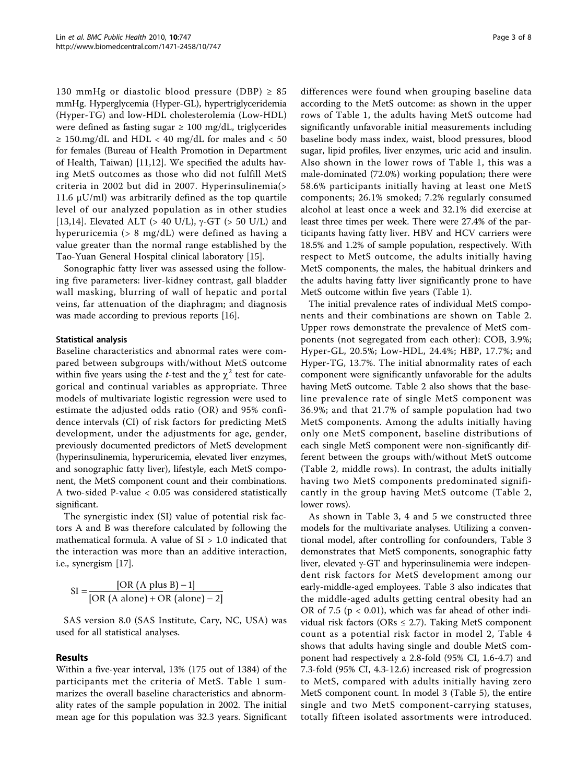130 mmHg or diastolic blood pressure (DBP)  $\geq$  85 mmHg. Hyperglycemia (Hyper-GL), hypertriglyceridemia (Hyper-TG) and low-HDL cholesterolemia (Low-HDL) were defined as fasting sugar  $\geq 100$  mg/dL, triglycerides ≥ 150.mg/dL and HDL < 40 mg/dL for males and < 50 for females (Bureau of Health Promotion in Department of Health, Taiwan) [\[11,12](#page-6-0)]. We specified the adults having MetS outcomes as those who did not fulfill MetS criteria in 2002 but did in 2007. Hyperinsulinemia(> 11.6  $μU/ml$ ) was arbitrarily defined as the top quartile level of our analyzed population as in other studies [[13,14](#page-6-0)]. Elevated ALT (> 40 U/L),  $\gamma$ -GT (> 50 U/L) and hyperuricemia (> 8 mg/dL) were defined as having a value greater than the normal range established by the Tao-Yuan General Hospital clinical laboratory [[15\]](#page-6-0).

Sonographic fatty liver was assessed using the following five parameters: liver-kidney contrast, gall bladder wall masking, blurring of wall of hepatic and portal veins, far attenuation of the diaphragm; and diagnosis was made according to previous reports [[16](#page-6-0)].

## Statistical analysis

Baseline characteristics and abnormal rates were compared between subgroups with/without MetS outcome within five years using the *t*-test and the  $\chi^2$  test for categorical and continual variables as appropriate. Three models of multivariate logistic regression were used to estimate the adjusted odds ratio (OR) and 95% confidence intervals (CI) of risk factors for predicting MetS development, under the adjustments for age, gender, previously documented predictors of MetS development (hyperinsulinemia, hyperuricemia, elevated liver enzymes, and sonographic fatty liver), lifestyle, each MetS component, the MetS component count and their combinations. A two-sided P-value < 0.05 was considered statistically significant.

The synergistic index (SI) value of potential risk factors A and B was therefore calculated by following the mathematical formula. A value of SI > 1.0 indicated that the interaction was more than an additive interaction, i.e., synergism [\[17](#page-6-0)].

$$
SI = \frac{[OR (A plus B) - 1]}{[OR (A alone) + OR (alone) - 2]}
$$

SAS version 8.0 (SAS Institute, Cary, NC, USA) was used for all statistical analyses.

## Results

Within a five-year interval, 13% (175 out of 1384) of the participants met the criteria of MetS. Table [1](#page-3-0) summarizes the overall baseline characteristics and abnormality rates of the sample population in 2002. The initial mean age for this population was 32.3 years. Significant differences were found when grouping baseline data according to the MetS outcome: as shown in the upper rows of Table [1,](#page-3-0) the adults having MetS outcome had significantly unfavorable initial measurements including baseline body mass index, waist, blood pressures, blood sugar, lipid profiles, liver enzymes, uric acid and insulin. Also shown in the lower rows of Table [1](#page-3-0), this was a male-dominated (72.0%) working population; there were 58.6% participants initially having at least one MetS components; 26.1% smoked; 7.2% regularly consumed alcohol at least once a week and 32.1% did exercise at least three times per week. There were 27.4% of the participants having fatty liver. HBV and HCV carriers were 18.5% and 1.2% of sample population, respectively. With respect to MetS outcome, the adults initially having MetS components, the males, the habitual drinkers and the adults having fatty liver significantly prone to have MetS outcome within five years (Table [1\)](#page-3-0).

The initial prevalence rates of individual MetS components and their combinations are shown on Table [2](#page-4-0). Upper rows demonstrate the prevalence of MetS components (not segregated from each other): COB, 3.9%; Hyper-GL, 20.5%; Low-HDL, 24.4%; HBP, 17.7%; and Hyper-TG, 13.7%. The initial abnormality rates of each component were significantly unfavorable for the adults having MetS outcome. Table [2](#page-4-0) also shows that the baseline prevalence rate of single MetS component was 36.9%; and that 21.7% of sample population had two MetS components. Among the adults initially having only one MetS component, baseline distributions of each single MetS component were non-significantly different between the groups with/without MetS outcome (Table [2](#page-4-0), middle rows). In contrast, the adults initially having two MetS components predominated significantly in the group having MetS outcome (Table [2](#page-4-0), lower rows).

As shown in Table [3, 4](#page-4-0) and [5](#page-5-0) we constructed three models for the multivariate analyses. Utilizing a conventional model, after controlling for confounders, Table [3](#page-4-0) demonstrates that MetS components, sonographic fatty liver, elevated  $\gamma$ -GT and hyperinsulinemia were independent risk factors for MetS development among our early-middle-aged employees. Table [3](#page-4-0) also indicates that the middle-aged adults getting central obesity had an OR of 7.5 ( $p < 0.01$ ), which was far ahead of other individual risk factors (ORs  $\leq$  2.7). Taking MetS component count as a potential risk factor in model 2, Table [4](#page-4-0) shows that adults having single and double MetS component had respectively a 2.8-fold (95% CI, 1.6-4.7) and 7.3-fold (95% CI, 4.3-12.6) increased risk of progression to MetS, compared with adults initially having zero MetS component count. In model 3 (Table [5](#page-5-0)), the entire single and two MetS component-carrying statuses, totally fifteen isolated assortments were introduced.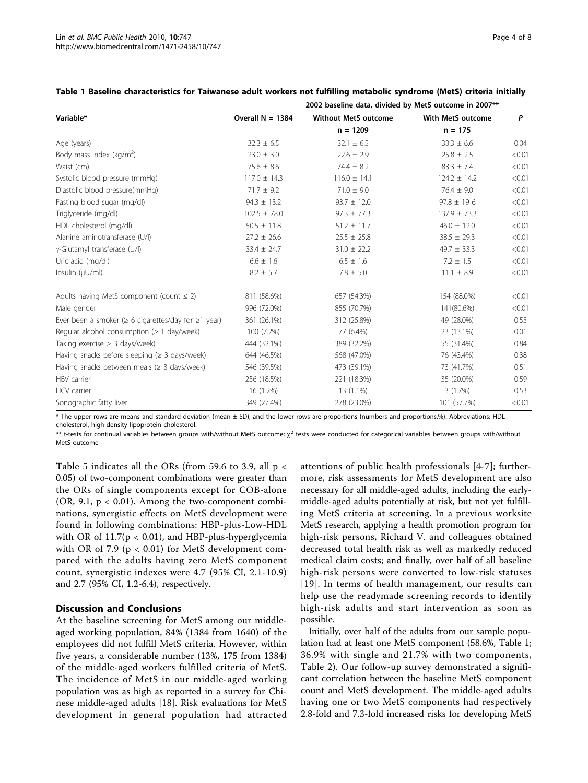|                                                                 |                    | 2002 baseline data, divided by MetS outcome in 2007** |                   |        |
|-----------------------------------------------------------------|--------------------|-------------------------------------------------------|-------------------|--------|
| Variable*                                                       | Overall $N = 1384$ | <b>Without MetS outcome</b>                           | With MetS outcome | P      |
|                                                                 |                    | $n = 1209$                                            | $n = 175$         |        |
| Age (years)                                                     | $32.3 \pm 6.5$     | $32.1 \pm 6.5$                                        | $33.3 \pm 6.6$    | 0.04   |
| Body mass index ( $kg/m2$ )                                     | $23.0 \pm 3.0$     | $22.6 \pm 2.9$                                        | $25.8 \pm 2.5$    | < 0.01 |
| Waist (cm)                                                      | $75.6 \pm 8.6$     | $74.4 \pm 8.2$                                        | $83.3 \pm 7.4$    | < 0.01 |
| Systolic blood pressure (mmHq)                                  | $117.0 \pm 14.3$   | $116.0 \pm 14.1$                                      | $124.2 \pm 14.2$  | < 0.01 |
| Diastolic blood pressure(mmHg)                                  | $71.7 \pm 9.2$     | $71.0 \pm 9.0$                                        | $76.4 \pm 9.0$    | < 0.01 |
| Fasting blood sugar (mg/dl)                                     | $94.3 \pm 13.2$    | $93.7 \pm 12.0$                                       | $97.8 \pm 196$    | < 0.01 |
| Triglyceride (mg/dl)                                            | $102.5 \pm 78.0$   | $97.3 \pm 77.3$                                       | $137.9 \pm 73.3$  | < 0.01 |
| HDL cholesterol (mg/dl)                                         | $50.5 \pm 11.8$    | $51.2 \pm 11.7$                                       | $46.0 \pm 12.0$   | < 0.01 |
| Alanine aminotransferase (U/l)                                  | $27.2 \pm 26.6$    | $25.5 \pm 25.8$                                       | $38.5 \pm 29.3$   | < 0.01 |
| γ-Glutamyl transferase (U/l)                                    | $33.4 \pm 24.7$    | $31.0 \pm 22.2$                                       | $49.7 \pm 33.3$   | < 0.01 |
| Uric acid (mg/dl)                                               | $6.6 \pm 1.6$      | $6.5 \pm 1.6$                                         | $7.2 \pm 1.5$     | < 0.01 |
| Insulin $(\mu U/ml)$                                            | $8.2 \pm 5.7$      | $7.8 \pm 5.0$                                         | $11.1 \pm 8.9$    | < 0.01 |
| Adults having MetS component (count $\leq$ 2)                   | 811 (58.6%)        | 657 (54.3%)                                           | 154 (88.0%)       | < 0.01 |
| Male gender                                                     | 996 (72.0%)        | 855 (70.7%)                                           | 141(80.6%)        | < 0.01 |
| Ever been a smoker ( $\geq 6$ cigarettes/day for $\geq 1$ year) | 361 (26.1%)        | 312 (25.8%)                                           | 49 (28.0%)        | 0.55   |
| Regular alcohol consumption ( $\geq 1$ day/week)                | 100 (7.2%)         | 77 (6.4%)                                             | 23 (13.1%)        | 0.01   |
| Taking exercise $\geq$ 3 days/week)                             | 444 (32.1%)        | 389 (32.2%)                                           | 55 (31.4%)        | 0.84   |
| Having snacks before sleeping ( $\geq$ 3 days/week)             | 644 (46.5%)        | 568 (47.0%)                                           | 76 (43.4%)        | 0.38   |
| Having snacks between meals ( $\geq$ 3 days/week)               | 546 (39.5%)        | 473 (39.1%)                                           | 73 (41.7%)        | 0.51   |
| HBV carrier                                                     | 256 (18.5%)        | 221 (18.3%)                                           | 35 (20.0%)        | 0.59   |
| <b>HCV</b> carrier                                              | 16 (1.2%)          | 13 (1.1%)                                             | 3(1.7%)           | 0.53   |
| Sonographic fatty liver                                         | 349 (27.4%)        | 278 (23.0%)                                           | 101 (57.7%)       | < 0.01 |

## <span id="page-3-0"></span>Table 1 Baseline characteristics for Taiwanese adult workers not fulfilling metabolic syndrome (MetS) criteria initially

\* The upper rows are means and standard deviation (mean ± SD), and the lower rows are proportions (numbers and proportions,%). Abbreviations: HDL cholesterol, high-density lipoprotein cholesterol.

\*\* t-tests for continual variables between groups with/without MetS outcome;  $\chi^2$  tests were conducted for categorical variables between groups with/without MetS outcome

Table [5](#page-5-0) indicates all the ORs (from 59.6 to 3.9, all p < 0.05) of two-component combinations were greater than the ORs of single components except for COB-alone (OR, 9.1,  $p < 0.01$ ). Among the two-component combinations, synergistic effects on MetS development were found in following combinations: HBP-plus-Low-HDL with OR of  $11.7(p < 0.01)$ , and HBP-plus-hyperglycemia with OR of 7.9 ( $p < 0.01$ ) for MetS development compared with the adults having zero MetS component count, synergistic indexes were 4.7 (95% CI, 2.1-10.9) and 2.7 (95% CI, 1.2-6.4), respectively.

#### Discussion and Conclusions

At the baseline screening for MetS among our middleaged working population, 84% (1384 from 1640) of the employees did not fulfill MetS criteria. However, within five years, a considerable number (13%, 175 from 1384) of the middle-aged workers fulfilled criteria of MetS. The incidence of MetS in our middle-aged working population was as high as reported in a survey for Chinese middle-aged adults [\[18](#page-6-0)]. Risk evaluations for MetS development in general population had attracted attentions of public health professionals [[4-7](#page-6-0)]; furthermore, risk assessments for MetS development are also necessary for all middle-aged adults, including the earlymiddle-aged adults potentially at risk, but not yet fulfilling MetS criteria at screening. In a previous worksite MetS research, applying a health promotion program for high-risk persons, Richard V. and colleagues obtained decreased total health risk as well as markedly reduced medical claim costs; and finally, over half of all baseline high-risk persons were converted to low-risk statuses [[19\]](#page-6-0). In terms of health management, our results can help use the readymade screening records to identify high-risk adults and start intervention as soon as possible.

Initially, over half of the adults from our sample population had at least one MetS component (58.6%, Table 1; 36.9% with single and 21.7% with two components, Table [2\)](#page-4-0). Our follow-up survey demonstrated a significant correlation between the baseline MetS component count and MetS development. The middle-aged adults having one or two MetS components had respectively 2.8-fold and 7.3-fold increased risks for developing MetS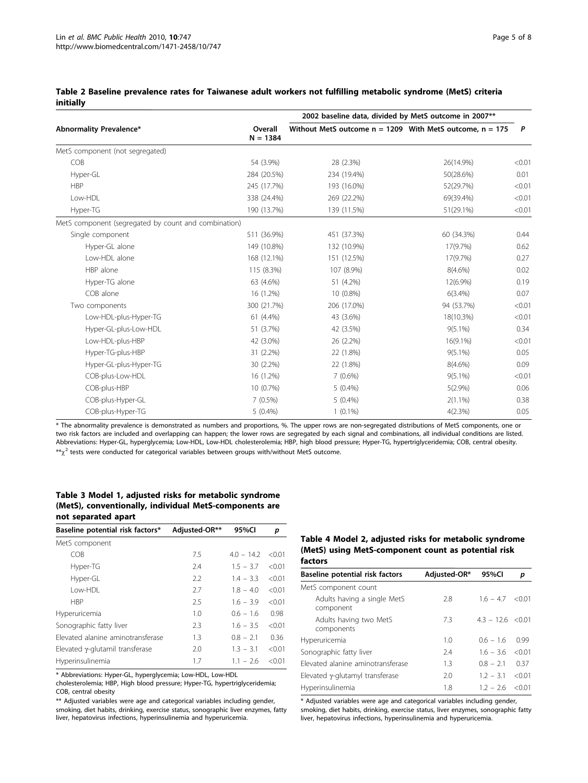#### <span id="page-4-0"></span>Table 2 Baseline prevalence rates for Taiwanese adult workers not fulfilling metabolic syndrome (MetS) criteria initially

|                                                      |                       | 2002 baseline data, divided by MetS outcome in 2007**        |            |              |
|------------------------------------------------------|-----------------------|--------------------------------------------------------------|------------|--------------|
| Abnormality Prevalence*                              | Overall<br>$N = 1384$ | Without MetS outcome $n = 1209$ With MetS outcome, $n = 175$ |            | $\mathsf{P}$ |
| MetS component (not segregated)                      |                       |                                                              |            |              |
| COB                                                  | 54 (3.9%)             | 28 (2.3%)                                                    | 26(14.9%)  | < 0.01       |
| Hyper-GL                                             | 284 (20.5%)           | 234 (19.4%)                                                  | 50(28.6%)  | 0.01         |
| <b>HBP</b>                                           | 245 (17.7%)           | 193 (16.0%)                                                  | 52(29.7%)  | < 0.01       |
| Low-HDL                                              | 338 (24.4%)           | 269 (22.2%)                                                  | 69(39.4%)  | < 0.01       |
| Hyper-TG                                             | 190 (13.7%)           | 139 (11.5%)                                                  | 51(29.1%)  | < 0.01       |
| MetS component (segregated by count and combination) |                       |                                                              |            |              |
| Single component                                     | 511 (36.9%)           | 451 (37.3%)                                                  | 60 (34.3%) | 0.44         |
| Hyper-GL alone                                       | 149 (10.8%)           | 132 (10.9%)                                                  | 17(9.7%)   | 0.62         |
| Low-HDL alone                                        | 168 (12.1%)           | 151 (12.5%)                                                  | 17(9.7%)   | 0.27         |
| HBP alone                                            | 115 (8.3%)            | 8(4.6%)<br>107 (8.9%)                                        |            | 0.02         |
| Hyper-TG alone                                       | 63 (4.6%)             | 12(6.9%)<br>51 (4.2%)                                        |            | 0.19         |
| COB alone                                            | 16 (1.2%)             | 10 (0.8%)<br>$6(3.4\%)$                                      |            | 0.07         |
| Two components                                       | 300 (21.7%)           | 206 (17.0%)                                                  | 94 (53.7%) | < 0.01       |
| Low-HDL-plus-Hyper-TG                                | 61 (4.4%)             | 43 (3.6%)                                                    | 18(10.3%)  | < 0.01       |
| Hyper-GL-plus-Low-HDL                                | 51 (3.7%)             | 42 (3.5%)                                                    | $9(5.1\%)$ | 0.34         |
| Low-HDL-plus-HBP                                     | 42 (3.0%)             | 16(9.1%)<br>26 (2.2%)                                        |            | < 0.01       |
| Hyper-TG-plus-HBP                                    | 31 (2.2%)             | 22 (1.8%)                                                    | $9(5.1\%)$ | 0.05         |
| Hyper-GL-plus-Hyper-TG                               | 30 (2.2%)             | 8(4.6%)<br>22 (1.8%)                                         |            | 0.09         |
| COB-plus-Low-HDL                                     | 16 (1.2%)             | $7(0.6\%)$                                                   | $9(5.1\%)$ | < 0.01       |
| COB-plus-HBP                                         | 10 (0.7%)             | $5(0.4\%)$                                                   | 5(2.9%)    | 0.06         |
| COB-plus-Hyper-GL                                    | 7(0.5%)               | $5(0.4\%)$                                                   | $2(1.1\%)$ | 0.38         |
| COB-plus-Hyper-TG                                    | $5(0.4\%)$            | $1(0.1\%)$                                                   | 4(2.3%)    | 0.05         |

\* The abnormality prevalence is demonstrated as numbers and proportions, %. The upper rows are non-segregated distributions of MetS components, one or two risk factors are included and overlapping can happen; the lower rows are segregated by each signal and combinations, all individual conditions are listed. Abbreviations: Hyper-GL, hyperglycemia; Low-HDL, Low-HDL cholesterolemia; HBP, high blood pressure; Hyper-TG, hypertriglyceridemia; COB, central obesity.  $**\gamma^2$  tests were conducted for categorical variables between groups with/without MetS outcome.

## Table 3 Model 1, adjusted risks for metabolic syndrome (MetS), conventionally, individual MetS-components are not separated apart

| Baseline potential risk factors*        | Adjusted-OR** | 95%CI        | р      |
|-----------------------------------------|---------------|--------------|--------|
| MetS component                          |               |              |        |
| COB                                     | 7.5           | $4.0 - 14.2$ | < 0.01 |
| Hyper-TG                                | 7.4           | $1.5 - 3.7$  | < 0.01 |
| Hyper-GL                                | 2.2           | $1.4 - 3.3$  | < 0.01 |
| l ow-HDI                                | 2.7           | $1.8 - 4.0$  | < 0.01 |
| <b>HBP</b>                              | 2.5           | $1.6 - 3.9$  | < 0.01 |
| Hyperuricemia                           | 1.0           | $0.6 - 1.6$  | 0.98   |
| Sonographic fatty liver                 | 2.3           | $1.6 - 3.5$  | < 0.01 |
| Elevated alanine aminotransferase       | 1.3           | $0.8 - 2.1$  | 0.36   |
| Elevated $\gamma$ -glutamil transferase | 2.0           | $1.3 - 3.1$  | < 0.01 |
| Hyperinsulinemia                        | 1.7           | $1.1 - 2.6$  | < 0.01 |

\* Abbreviations: Hyper-GL, hyperglycemia; Low-HDL, Low-HDL

cholesterolemia; HBP, High blood pressure; Hyper-TG, hypertriglyceridemia; COB, central obesity

\*\* Adjusted variables were age and categorical variables including gender, smoking, diet habits, drinking, exercise status, sonographic liver enzymes, fatty liver, hepatovirus infections, hyperinsulinemia and hyperuricemia.

#### Table 4 Model 2, adjusted risks for metabolic syndrome (MetS) using MetS-component count as potential risk factors

| Baseline potential risk factors          | Adjusted-OR* | 95%CI             | р        |
|------------------------------------------|--------------|-------------------|----------|
| MetS component count                     |              |                   |          |
| Adults having a single MetS<br>component | 2.8          | $16 - 47 < 0.01$  |          |
| Adults having two MetS<br>components     | 7.3          | $43 - 126 < 0.01$ |          |
| Hyperuricemia                            | 1.0          | $06 - 16$         | 0.99     |
| Sonographic fatty liver                  | 2.4          | $1.6 - 3.6$       | < 0.01   |
| Elevated alanine aminotransferase        | 1.3          | $0.8 - 2.1$       | 0.37     |
| Elevated y-glutamyl transferase          | 2.0          | $1.2 - 3.1$       | < 0.01   |
| Hyperinsulinemia                         | 1.8          | $12 - 26$         | $<$ 0.01 |
|                                          |              |                   |          |

\* Adjusted variables were age and categorical variables including gender, smoking, diet habits, drinking, exercise status, liver enzymes, sonographic fatty liver, hepatovirus infections, hyperinsulinemia and hyperuricemia.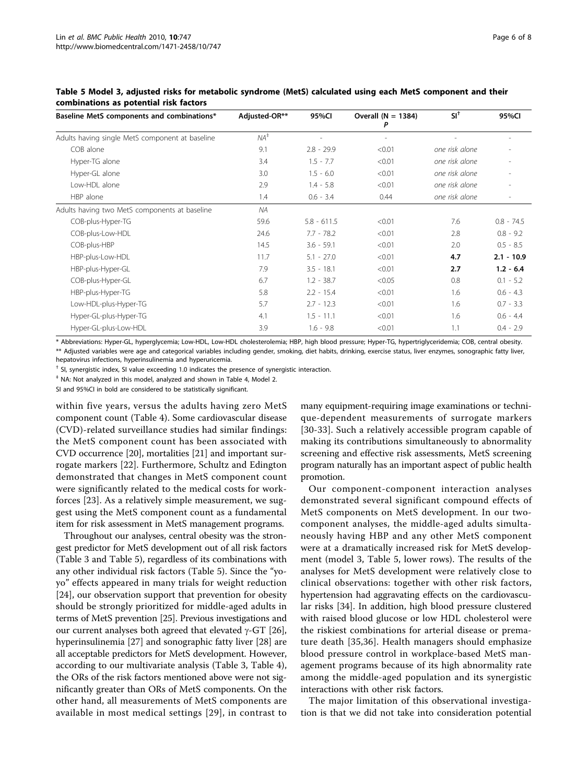| Baseline MetS components and combinations*      | Adjusted-OR**   | 95%Cl         | Overall $(N = 1384)$     | $SI^{\dagger}$ | 95%CI        |
|-------------------------------------------------|-----------------|---------------|--------------------------|----------------|--------------|
| Adults having single MetS component at baseline | $NA^{\ddagger}$ |               | $\overline{\phantom{a}}$ |                |              |
| COB alone                                       | 9.1             | $2.8 - 29.9$  | < 0.01                   | one risk alone |              |
| Hyper-TG alone                                  | 3.4             | $1.5 - 7.7$   | < 0.01                   | one risk alone |              |
| Hyper-GL alone                                  | 3.0             | $1.5 - 6.0$   | < 0.01                   | one risk alone |              |
| Low-HDL alone                                   | 2.9             | $1.4 - 5.8$   | < 0.01                   | one risk alone |              |
| HBP alone                                       | 1.4             | $0.6 - 3.4$   | 0.44                     | one risk alone |              |
| Adults having two MetS components at baseline   | NA              |               |                          |                |              |
| COB-plus-Hyper-TG                               | 59.6            | $5.8 - 611.5$ | < 0.01                   | 7.6            | $0.8 - 74.5$ |
| COB-plus-Low-HDL                                | 24.6            | $7.7 - 78.2$  | < 0.01                   | 2.8            | $0.8 - 9.2$  |
| COB-plus-HBP                                    | 14.5            | $3.6 - 59.1$  | < 0.01                   | 2.0            | $0.5 - 8.5$  |
| HBP-plus-Low-HDL                                | 11.7            | $5.1 - 27.0$  | < 0.01                   | 4.7            | $2.1 - 10.9$ |
| HBP-plus-Hyper-GL                               | 7.9             | $3.5 - 18.1$  | < 0.01                   | 2.7            | $1.2 - 6.4$  |
| COB-plus-Hyper-GL                               | 6.7             | $1.2 - 38.7$  | < 0.05                   | 0.8            | $0.1 - 5.2$  |
| HBP-plus-Hyper-TG                               | 5.8             | $2.2 - 15.4$  | < 0.01                   | 1.6            | $0.6 - 4.3$  |
| Low-HDL-plus-Hyper-TG                           | 5.7             | $2.7 - 12.3$  | < 0.01                   | 1.6            | $0.7 - 3.3$  |
| Hyper-GL-plus-Hyper-TG                          | 4.1             | $1.5 - 11.1$  | < 0.01                   | 1.6            | $0.6 - 4.4$  |
| Hyper-GL-plus-Low-HDL                           | 3.9             | $1.6 - 9.8$   | < 0.01                   | 1.1            | $0.4 - 2.9$  |

<span id="page-5-0"></span>Table 5 Model 3, adjusted risks for metabolic syndrome (MetS) calculated using each MetS component and their combinations as potential risk factors

\* Abbreviations: Hyper-GL, hyperglycemia; Low-HDL, Low-HDL cholesterolemia; HBP, high blood pressure; Hyper-TG, hypertriglyceridemia; COB, central obesity. \*\* Adjusted variables were age and categorical variables including gender, smoking, diet habits, drinking, exercise status, liver enzymes, sonographic fatty liver, hepatovirus infections, hyperinsulinemia and hyperuricemia.

† SI, synergistic index, SI value exceeding 1.0 indicates the presence of synergistic interaction.

‡ NA: Not analyzed in this model, analyzed and shown in Table 4, Model 2.

SI and 95%CI in bold are considered to be statistically significant.

within five years, versus the adults having zero MetS component count (Table [4\)](#page-4-0). Some cardiovascular disease (CVD)-related surveillance studies had similar findings: the MetS component count has been associated with CVD occurrence [[20](#page-6-0)], mortalities [[21](#page-6-0)] and important surrogate markers [\[22](#page-7-0)]. Furthermore, Schultz and Edington demonstrated that changes in MetS component count were significantly related to the medical costs for workforces [[23\]](#page-7-0). As a relatively simple measurement, we suggest using the MetS component count as a fundamental item for risk assessment in MetS management programs.

Throughout our analyses, central obesity was the strongest predictor for MetS development out of all risk factors (Table [3](#page-4-0) and Table 5), regardless of its combinations with any other individual risk factors (Table 5). Since the "yoyo" effects appeared in many trials for weight reduction [[24\]](#page-7-0), our observation support that prevention for obesity should be strongly prioritized for middle-aged adults in terms of MetS prevention [\[25\]](#page-7-0). Previous investigations and our current analyses both agreed that elevated  $\gamma$ -GT [\[26](#page-7-0)], hyperinsulinemia [\[27](#page-7-0)] and sonographic fatty liver [\[28](#page-7-0)] are all acceptable predictors for MetS development. However, according to our multivariate analysis (Table [3](#page-4-0), Table [4](#page-4-0)), the ORs of the risk factors mentioned above were not significantly greater than ORs of MetS components. On the other hand, all measurements of MetS components are available in most medical settings [[29](#page-7-0)], in contrast to many equipment-requiring image examinations or technique-dependent measurements of surrogate markers [[30](#page-7-0)-[33\]](#page-7-0). Such a relatively accessible program capable of making its contributions simultaneously to abnormality screening and effective risk assessments, MetS screening program naturally has an important aspect of public health promotion.

Our component-component interaction analyses demonstrated several significant compound effects of MetS components on MetS development. In our twocomponent analyses, the middle-aged adults simultaneously having HBP and any other MetS component were at a dramatically increased risk for MetS development (model 3, Table 5, lower rows). The results of the analyses for MetS development were relatively close to clinical observations: together with other risk factors, hypertension had aggravating effects on the cardiovascular risks [\[34](#page-7-0)]. In addition, high blood pressure clustered with raised blood glucose or low HDL cholesterol were the riskiest combinations for arterial disease or premature death [[35,36](#page-7-0)]. Health managers should emphasize blood pressure control in workplace-based MetS management programs because of its high abnormality rate among the middle-aged population and its synergistic interactions with other risk factors.

The major limitation of this observational investigation is that we did not take into consideration potential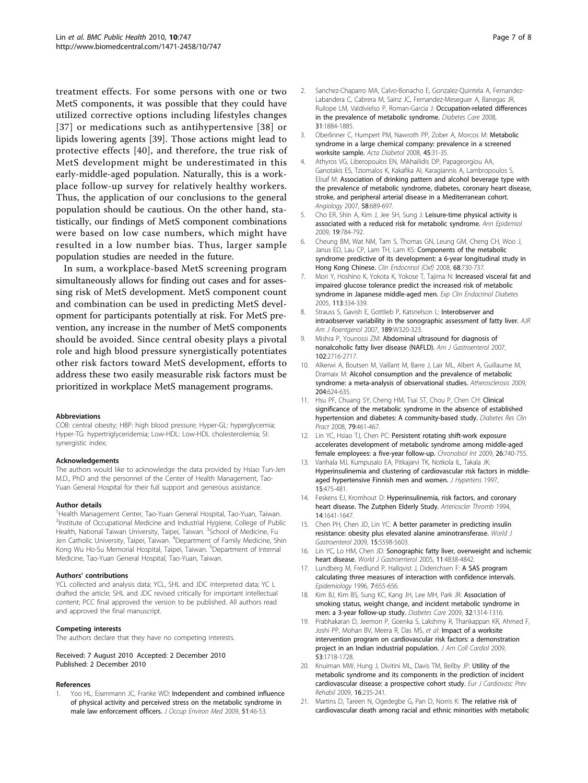<span id="page-6-0"></span>treatment effects. For some persons with one or two MetS components, it was possible that they could have utilized corrective options including lifestyles changes [[37\]](#page-7-0) or medications such as antihypertensive [[38](#page-7-0)] or lipids lowering agents [\[39](#page-7-0)]. Those actions might lead to protective effects [[40](#page-7-0)], and therefore, the true risk of MetS development might be underestimated in this early-middle-aged population. Naturally, this is a workplace follow-up survey for relatively healthy workers. Thus, the application of our conclusions to the general population should be cautious. On the other hand, statistically, our findings of MetS component combinations were based on low case numbers, which might have resulted in a low number bias. Thus, larger sample population studies are needed in the future.

In sum, a workplace-based MetS screening program simultaneously allows for finding out cases and for assessing risk of MetS development. MetS component count and combination can be used in predicting MetS development for participants potentially at risk. For MetS prevention, any increase in the number of MetS components should be avoided. Since central obesity plays a pivotal role and high blood pressure synergistically potentiates other risk factors toward MetS development, efforts to address these two easily measurable risk factors must be prioritized in workplace MetS management programs.

#### Abbreviations

COB: central obesity; HBP: high blood pressure; Hyper-GL: hyperglycemia; Hyper-TG: hypertriglyceridemia; Low-HDL: Low-HDL cholesterolemia; SI: synergistic index;

#### Acknowledgements

The authors would like to acknowledge the data provided by Hsiao Tun-Jen M.D., PhD and the personnel of the Center of Health Management, Tao-Yuan General Hospital for their full support and generous assistance.

#### Author details

<sup>1</sup>Health Management Center, Tao-Yuan General Hospital, Tao-Yuan, Taiwan. <sup>2</sup>Institute of Occupational Medicine and Industrial Hygiene, College of Public Health, National Taiwan University, Taipei, Taiwan. <sup>3</sup>School of Medicine, Fu Jen Catholic University, Taipei, Taiwan. <sup>4</sup>Department of Family Medicine, Shin Kong Wu Ho-Su Memorial Hospital, Taipei, Taiwan. <sup>5</sup>Department of Internal Medicine, Tao-Yuan General Hospital, Tao-Yuan, Taiwan.

#### Authors' contributions

YCL collected and analysis data; YCL, SHL and JDC interpreted data; YC L drafted the article; SHL and JDC revised critically for important intellectual content; PCC final approved the version to be published. All authors read and approved the final manuscript.

#### Competing interests

The authors declare that they have no competing interests.

Received: 7 August 2010 Accepted: 2 December 2010 Published: 2 December 2010

#### References

Yoo HL, Eisenmann JC, Franke WD: [Independent and combined influence](http://www.ncbi.nlm.nih.gov/pubmed/19136873?dopt=Abstract) [of physical activity and perceived stress on the metabolic syndrome in](http://www.ncbi.nlm.nih.gov/pubmed/19136873?dopt=Abstract) [male law enforcement officers.](http://www.ncbi.nlm.nih.gov/pubmed/19136873?dopt=Abstract) J Occup Environ Med 2009, 51:46-53.

- 2. Sanchez-Chaparro MA, Calvo-Bonacho E, Gonzalez-Quintela A, Fernandez-Labandera C, Cabrera M, Sainz JC, Fernandez-Meseguer A, Banegas JR, Ruilope LM, Valdivielso P, Roman-Garcia J: [Occupation-related differences](http://www.ncbi.nlm.nih.gov/pubmed/18753667?dopt=Abstract) [in the prevalence of metabolic syndrome.](http://www.ncbi.nlm.nih.gov/pubmed/18753667?dopt=Abstract) Diabetes Care 2008, 31:1884-1885.
- 3. Oberlinner C, Humpert PM, Nawroth PP, Zober A, Morcos M: [Metabolic](http://www.ncbi.nlm.nih.gov/pubmed/17882349?dopt=Abstract) [syndrome in a large chemical company: prevalence in a screened](http://www.ncbi.nlm.nih.gov/pubmed/17882349?dopt=Abstract) [worksite sample.](http://www.ncbi.nlm.nih.gov/pubmed/17882349?dopt=Abstract) Acta Diabetol 2008, 45:31-35.
- 4. Athyros VG, Liberopoulos EN, Mikhailidis DP, Papageorgiou AA, Ganotakis ES, Tziomalos K, Kakafika AI, Karagiannis A, Lambropoulos S, Elisaf M: [Association of drinking pattern and alcohol beverage type with](http://www.ncbi.nlm.nih.gov/pubmed/18216378?dopt=Abstract) [the prevalence of metabolic syndrome, diabetes, coronary heart disease,](http://www.ncbi.nlm.nih.gov/pubmed/18216378?dopt=Abstract) [stroke, and peripheral arterial disease in a Mediterranean cohort.](http://www.ncbi.nlm.nih.gov/pubmed/18216378?dopt=Abstract) Angiology 2007, 58:689-697.
- 5. Cho ER, Shin A, Kim J, Jee SH, Sung J: [Leisure-time physical activity is](http://www.ncbi.nlm.nih.gov/pubmed/19825459?dopt=Abstract) [associated with a reduced risk for metabolic syndrome.](http://www.ncbi.nlm.nih.gov/pubmed/19825459?dopt=Abstract) Ann Epidemiol 2009, 19:784-792.
- 6. Cheung BM, Wat NM, Tam S, Thomas GN, Leung GM, Cheng CH, Woo J, Janus ED, Lau CP, Lam TH, Lam KS: [Components of the metabolic](http://www.ncbi.nlm.nih.gov/pubmed/17980012?dopt=Abstract) [syndrome predictive of its development: a 6-year longitudinal study in](http://www.ncbi.nlm.nih.gov/pubmed/17980012?dopt=Abstract) [Hong Kong Chinese.](http://www.ncbi.nlm.nih.gov/pubmed/17980012?dopt=Abstract) Clin Endocrinol (Oxf) 2008, 68:730-737.
- 7. Mori Y, Hoshino K, Yokota K, Yokose T, Tajima N: [Increased visceral fat and](http://www.ncbi.nlm.nih.gov/pubmed/15977101?dopt=Abstract) [impaired glucose tolerance predict the increased risk of metabolic](http://www.ncbi.nlm.nih.gov/pubmed/15977101?dopt=Abstract) [syndrome in Japanese middle-aged men.](http://www.ncbi.nlm.nih.gov/pubmed/15977101?dopt=Abstract) Exp Clin Endocrinol Diabetes 2005, 113:334-339.
- Strauss S, Gavish E, Gottlieb P, Katsnelson L: [Interobserver and](http://www.ncbi.nlm.nih.gov/pubmed/18029843?dopt=Abstract) [intraobserver variability in the sonographic assessment of fatty liver.](http://www.ncbi.nlm.nih.gov/pubmed/18029843?dopt=Abstract) AJR Am J Roentgenol 2007, 189:W320-323.
- Mishra P, Younossi ZM: [Abdominal ultrasound for diagnosis of](http://www.ncbi.nlm.nih.gov/pubmed/18042105?dopt=Abstract) [nonalcoholic fatty liver disease \(NAFLD\).](http://www.ncbi.nlm.nih.gov/pubmed/18042105?dopt=Abstract) Am J Gastroenterol 2007, 102:2716-2717.
- 10. Alkerwi A, Boutsen M, Vaillant M, Barre J, Lair ML, Albert A, Guillaume M, Dramaix M: [Alcohol consumption and the prevalence of metabolic](http://www.ncbi.nlm.nih.gov/pubmed/19084839?dopt=Abstract) [syndrome: a meta-analysis of observational studies.](http://www.ncbi.nlm.nih.gov/pubmed/19084839?dopt=Abstract) Atherosclerosis 2009, 204:624-635.
- 11. Hsu PF, Chuang SY, Cheng HM, Tsai ST, Chou P, Chen CH: [Clinical](http://www.ncbi.nlm.nih.gov/pubmed/18006171?dopt=Abstract) [significance of the metabolic syndrome in the absence of established](http://www.ncbi.nlm.nih.gov/pubmed/18006171?dopt=Abstract) [hypertension and diabetes: A community-based study.](http://www.ncbi.nlm.nih.gov/pubmed/18006171?dopt=Abstract) Diabetes Res Clin Pract 2008, 79:461-467.
- 12. Lin YC, Hsiao TJ, Chen PC: [Persistent rotating shift-work exposure](http://www.ncbi.nlm.nih.gov/pubmed/19444753?dopt=Abstract) [accelerates development of metabolic syndrome among middle-aged](http://www.ncbi.nlm.nih.gov/pubmed/19444753?dopt=Abstract) [female employees: a five-year follow-up.](http://www.ncbi.nlm.nih.gov/pubmed/19444753?dopt=Abstract) Chronobiol Int 2009, 26:740-755.
- 13. Vanhala MJ, Kumpusalo EA, Pitkajarvi TK, Notkola IL, Takala JK: [Hyperinsulinemia and clustering of cardiovascular risk factors in middle](http://www.ncbi.nlm.nih.gov/pubmed/9169999?dopt=Abstract)[aged hypertensive Finnish men and women.](http://www.ncbi.nlm.nih.gov/pubmed/9169999?dopt=Abstract) J Hypertens 1997, 15:475-481.
- 14. Feskens EJ, Kromhout D: [Hyperinsulinemia, risk factors, and coronary](http://www.ncbi.nlm.nih.gov/pubmed/7918315?dopt=Abstract) [heart disease. The Zutphen Elderly Study.](http://www.ncbi.nlm.nih.gov/pubmed/7918315?dopt=Abstract) Arterioscler Thromb 1994, 14:1641-1647.
- 15. Chen PH, Chen JD, Lin YC: [A better parameter in predicting insulin](http://www.ncbi.nlm.nih.gov/pubmed/19938201?dopt=Abstract) [resistance: obesity plus elevated alanine aminotransferase.](http://www.ncbi.nlm.nih.gov/pubmed/19938201?dopt=Abstract) World J Gastroenterol 2009, 15:5598-5603.
- 16. Lin YC, Lo HM, Chen JD: [Sonographic fatty liver, overweight and ischemic](http://www.ncbi.nlm.nih.gov/pubmed/16097054?dopt=Abstract) [heart disease.](http://www.ncbi.nlm.nih.gov/pubmed/16097054?dopt=Abstract) World J Gastroenterol 2005, 11:4838-4842.
- 17. Lundberg M, Fredlund P, Hallgvist J, Diderichsen F: [A SAS program](http://www.ncbi.nlm.nih.gov/pubmed/8899400?dopt=Abstract) [calculating three measures of interaction with confidence intervals.](http://www.ncbi.nlm.nih.gov/pubmed/8899400?dopt=Abstract) Epidemiology 1996, 7:655-656.
- 18. Kim BJ, Kim BS, Sung KC, Kang JH, Lee MH, Park JR: [Association of](http://www.ncbi.nlm.nih.gov/pubmed/19389815?dopt=Abstract) [smoking status, weight change, and incident metabolic syndrome in](http://www.ncbi.nlm.nih.gov/pubmed/19389815?dopt=Abstract) [men: a 3-year follow-up study.](http://www.ncbi.nlm.nih.gov/pubmed/19389815?dopt=Abstract) Diabetes Care 2009, 32:1314-1316.
- 19. Prabhakaran D, Jeemon P, Goenka S, Lakshmy R, Thankappan KR, Ahmed F, Joshi PP, Mohan BV, Meera R, Das MS, et al: [Impact of a worksite](http://www.ncbi.nlm.nih.gov/pubmed/19406349?dopt=Abstract) [intervention program on cardiovascular risk factors: a demonstration](http://www.ncbi.nlm.nih.gov/pubmed/19406349?dopt=Abstract) [project in an Indian industrial population.](http://www.ncbi.nlm.nih.gov/pubmed/19406349?dopt=Abstract) J Am Coll Cardiol 2009, 53:1718-1728.
- 20. Knuiman MW, Hung J, Divitini ML, Davis TM, Beilby JP: [Utility of the](http://www.ncbi.nlm.nih.gov/pubmed/19238082?dopt=Abstract) [metabolic syndrome and its components in the prediction of incident](http://www.ncbi.nlm.nih.gov/pubmed/19238082?dopt=Abstract) [cardiovascular disease: a prospective cohort study.](http://www.ncbi.nlm.nih.gov/pubmed/19238082?dopt=Abstract) Eur J Cardiovasc Prev Rehabil 2009, 16:235-241.
- 21. Martins D, Tareen N, Ogedegbe G, Pan D, Norris K: [The relative risk of](http://www.ncbi.nlm.nih.gov/pubmed/18507210?dopt=Abstract) [cardiovascular death among racial and ethnic minorities with metabolic](http://www.ncbi.nlm.nih.gov/pubmed/18507210?dopt=Abstract)